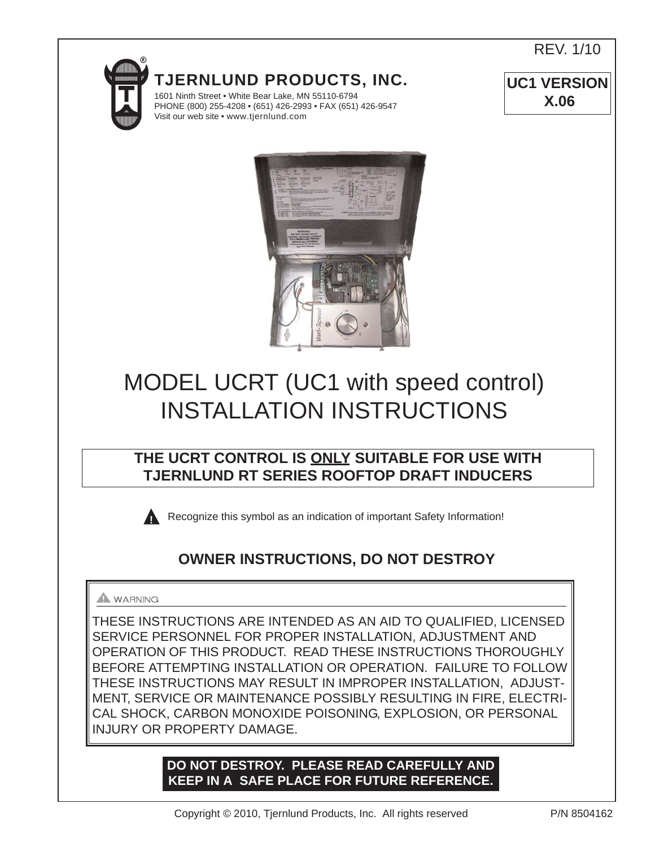REV. 1/10

**UC1 VERSION X.06**



**TJERNLUND PRODUCTS, INC.**

1601 Ninth Street • White Bear Lake, MN 55110-6794 PHONE (800) 255-4208 • (651) 426-2993 • FAX (651) 426-9547 Visit our web site • www.tjernlund.com



# MODEL UCRT (UC1 with speed control) INSTALLATION INSTRUCTIONS

# **THE UCRT CONTROL IS ONLY SUITABLE FOR USE WITH TJERNLUND RT SERIES ROOFTOP DRAFT INDUCERS**

Recognize this symbol as an indication of important Safety Information!

# **OWNER INSTRUCTIONS, DO NOT DESTROY**

# **A** WARNING

THESE INSTRUCTIONS ARE INTENDED AS AN AID TO QUALIFIED, LICENSED SERVICE PERSONNEL FOR PROPER INSTALLATION, ADJUSTMENT AND OPERATION OF THIS PRODUCT. READ THESE INSTRUCTIONS THOROUGHLY BEFORE ATTEMPTING INSTALLATION OR OPERATION. FAILURE TO FOLLOW THESE INSTRUCTIONS MAY RESULT IN IMPROPER INSTALLATION, ADJUST-MENT, SERVICE OR MAINTENANCE POSSIBLY RESULTING IN FIRE, ELECTRI-CAL SHOCK, CARBON MONOXIDE POISONING, EXPLOSION, OR PERSONAL INJURY OR PROPERTY DAMAGE.

# **DO NOT DESTROY. PLEASE READ CAREFULLY AND KEEP IN A SAFE PLACE FOR FUTURE REFERENCE.**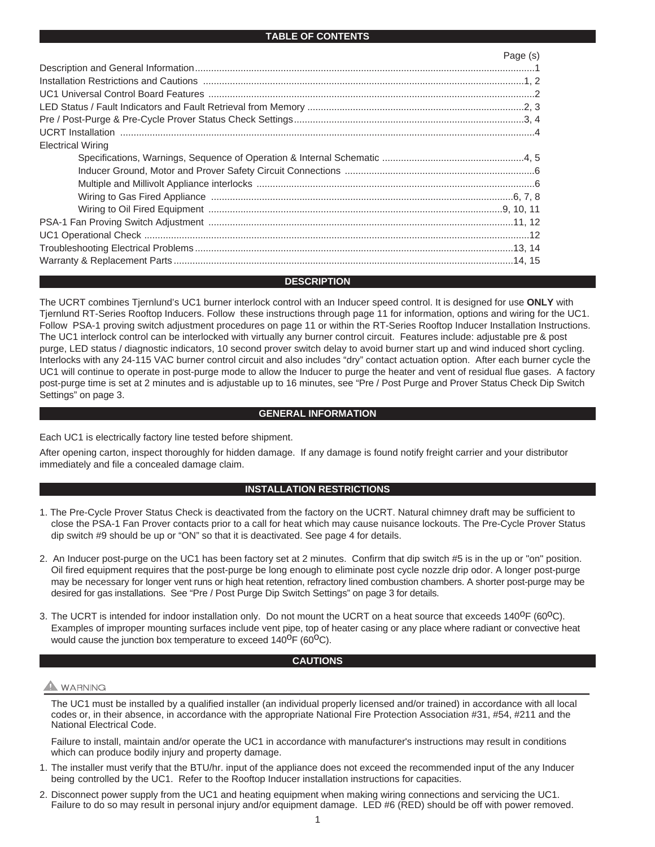#### **TABLE OF CONTENTS**

|                          | Page (s) |
|--------------------------|----------|
|                          |          |
|                          |          |
|                          |          |
|                          |          |
|                          |          |
|                          |          |
| <b>Electrical Wiring</b> |          |
|                          |          |
|                          |          |
|                          |          |
|                          |          |
|                          |          |
|                          |          |
|                          |          |
|                          |          |
|                          |          |

#### **DESCRIPTION**

The UCRT combines Tjernlund's UC1 burner interlock control with an Inducer speed control. It is designed for use **ONLY** with Tjernlund RT-Series Rooftop Inducers. Follow these instructions through page 11 for information, options and wiring for the UC1. Follow PSA-1 proving switch adjustment procedures on page 11 or within the RT-Series Rooftop Inducer Installation Instructions. The UC1 interlock control can be interlocked with virtually any burner control circuit. Features include: adjustable pre & post purge, LED status / diagnostic indicators, 10 second prover switch delay to avoid burner start up and wind induced short cycling. Interlocks with any 24-115 VAC burner control circuit and also includes "dry" contact actuation option. After each burner cycle the UC1 will continue to operate in post-purge mode to allow the Inducer to purge the heater and vent of residual flue gases. A factory post-purge time is set at 2 minutes and is adjustable up to 16 minutes, see "Pre / Post Purge and Prover Status Check Dip Switch Settings" on page 3.

#### **GENERAL INFORMATION**

Each UC1 is electrically factory line tested before shipment.

After opening carton, inspect thoroughly for hidden damage. If any damage is found notify freight carrier and your distributor immediately and file a concealed damage claim.

### **INSTALLATION RESTRICTIONS**

- 1. The Pre-Cycle Prover Status Check is deactivated from the factory on the UCRT. Natural chimney draft may be sufficient to close the PSA-1 Fan Prover contacts prior to a call for heat which may cause nuisance lockouts. The Pre-Cycle Prover Status dip switch #9 should be up or "ON" so that it is deactivated. See page 4 for details.
- 2. An Inducer post-purge on the UC1 has been factory set at 2 minutes. Confirm that dip switch #5 is in the up or "on" position. Oil fired equipment requires that the post-purge be long enough to eliminate post cycle nozzle drip odor. A longer post-purge may be necessary for longer vent runs or high heat retention, refractory lined combustion chambers. A shorter post-purge may be desired for gas installations. See "Pre / Post Purge Dip Switch Settings" on page 3 for details.
- 3. The UCRT is intended for indoor installation only. Do not mount the UCRT on a heat source that exceeds 140<sup>0</sup>F (60<sup>0</sup>C). Examples of improper mounting surfaces include vent pipe, top of heater casing or any place where radiant or convective heat would cause the junction box temperature to exceed  $140^{\circ}F (60^{\circ}C)$ .

#### **CAUTIONS**

#### **A** WARNING

The UC1 must be installed by a qualified installer (an individual properly licensed and/or trained) in accordance with all local codes or, in their absence, in accordance with the appropriate National Fire Protection Association #31, #54, #211 and the National Electrical Code.

Failure to install, maintain and/or operate the UC1 in accordance with manufacturer's instructions may result in conditions which can produce bodily injury and property damage.

- 1. The installer must verify that the BTU/hr. input of the appliance does not exceed the recommended input of the any Inducer being controlled by the UC1. Refer to the Rooftop Inducer installation instructions for capacities.
- 2. Disconnect power supply from the UC1 and heating equipment when making wiring connections and servicing the UC1. Failure to do so may result in personal injury and/or equipment damage. LED #6 (RED) should be off with power removed.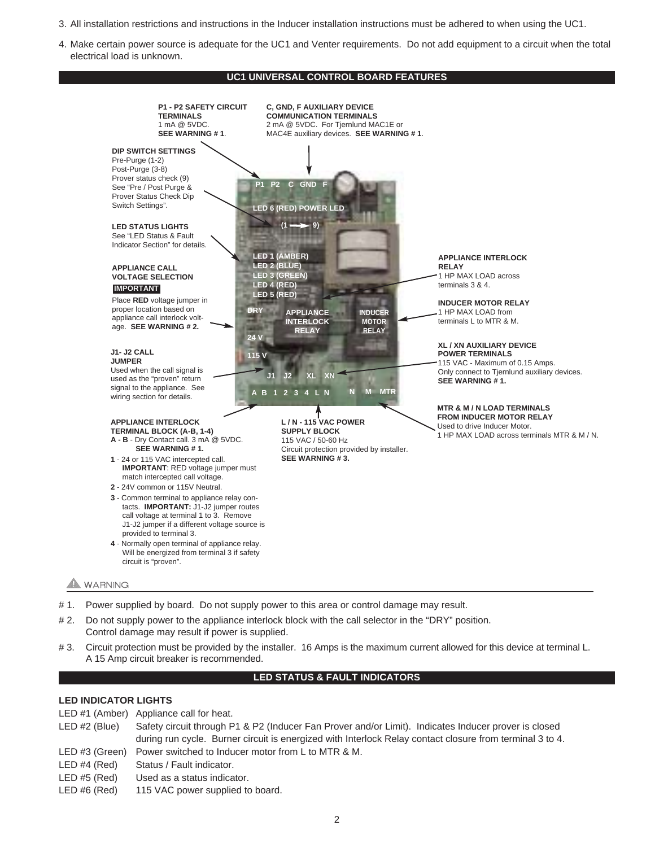- 3. All installation restrictions and instructions in the Inducer installation instructions must be adhered to when using the UC1.
- 4. Make certain power source is adequate for the UC1 and Venter requirements. Do not add equipment to a circuit when the total electrical load is unknown.

#### **UC1 UNIVERSAL CONTROL BOARD FEATURES**



- # 1. Power supplied by board. Do not supply power to this area or control damage may result.
- # 2. Do not supply power to the appliance interlock block with the call selector in the "DRY" position. Control damage may result if power is supplied.
- # 3. Circuit protection must be provided by the installer. 16 Amps is the maximum current allowed for this device at terminal L. A 15 Amp circuit breaker is recommended.

#### **LED STATUS & FAULT INDICATORS**

### **LED INDICATOR LIGHTS**

- LED #1 (Amber) Appliance call for heat.
- LED #2 (Blue) Safety circuit through P1 & P2 (Inducer Fan Prover and/or Limit). Indicates Inducer prover is closed during run cycle. Burner circuit is energized with Interlock Relay contact closure from terminal 3 to 4.
- LED #3 (Green) Power switched to Inducer motor from L to MTR & M.
- LED #4 (Red) Status / Fault indicator.
- LED #5 (Red) Used as a status indicator.
- LED #6 (Red) 115 VAC power supplied to board.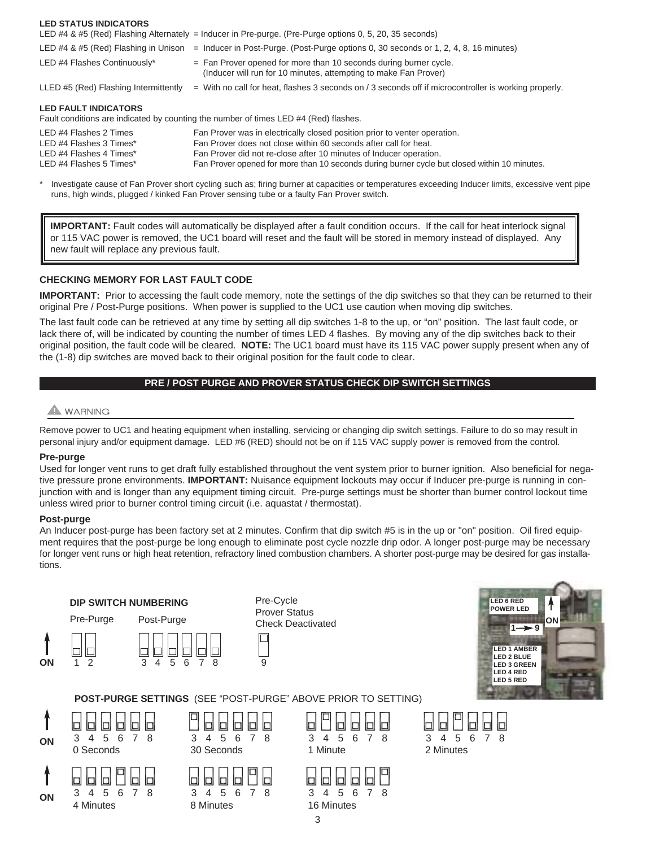| LED STATUS INDIUATURS                                                                                   | LED #4 & #5 (Red) Flashing Alternately = Inducer in Pre-purge. (Pre-Purge options 0, 5, 20, 35 seconds)                                                                                                                                                                                                             |
|---------------------------------------------------------------------------------------------------------|---------------------------------------------------------------------------------------------------------------------------------------------------------------------------------------------------------------------------------------------------------------------------------------------------------------------|
| LED #4 & #5 (Red) Flashing in Unison                                                                    | = Inducer in Post-Purge. (Post-Purge options 0, 30 seconds or 1, 2, 4, 8, 16 minutes)                                                                                                                                                                                                                               |
| LED #4 Flashes Continuously*                                                                            | $=$ Fan Prover opened for more than 10 seconds during burner cycle.<br>(Inducer will run for 10 minutes, attempting to make Fan Prover)                                                                                                                                                                             |
| LLED #5 (Red) Flashing Intermittently                                                                   | $=$ With no call for heat, flashes 3 seconds on / 3 seconds off if microcontroller is working properly.                                                                                                                                                                                                             |
| <b>LED FAULT INDICATORS</b>                                                                             | Fault conditions are indicated by counting the number of times LED #4 (Red) flashes.                                                                                                                                                                                                                                |
| LED #4 Flashes 2 Times<br>LED #4 Flashes 3 Times*<br>LED #4 Flashes 4 Times*<br>LED #4 Flashes 5 Times* | Fan Prover was in electrically closed position prior to venter operation.<br>Fan Prover does not close within 60 seconds after call for heat.<br>Fan Prover did not re-close after 10 minutes of Inducer operation.<br>Fan Prover opened for more than 10 seconds during burner cycle but closed within 10 minutes. |

\* Investigate cause of Fan Prover short cycling such as; firing burner at capacities or temperatures exceeding Inducer limits, excessive vent pipe runs, high winds, plugged / kinked Fan Prover sensing tube or a faulty Fan Prover switch.

**IMPORTANT:** Fault codes will automatically be displayed after a fault condition occurs. If the call for heat interlock signal or 115 VAC power is removed, the UC1 board will reset and the fault will be stored in memory instead of displayed. Any new fault will replace any previous fault.

#### **CHECKING MEMORY FOR LAST FAULT CODE**

**IMPORTANT:** Prior to accessing the fault code memory, note the settings of the dip switches so that they can be returned to their original Pre / Post-Purge positions. When power is supplied to the UC1 use caution when moving dip switches.

The last fault code can be retrieved at any time by setting all dip switches 1-8 to the up, or "on" position. The last fault code, or lack there of, will be indicated by counting the number of times LED 4 flashes. By moving any of the dip switches back to their original position, the fault code will be cleared. **NOTE:** The UC1 board must have its 115 VAC power supply present when any of the (1-8) dip switches are moved back to their original position for the fault code to clear.

# **PRE / POST PURGE AND PROVER STATUS CHECK DIP SWITCH SETTINGS**

# WARNING

**LED STATUS INDICATORS**

Remove power to UC1 and heating equipment when installing, servicing or changing dip switch settings. Failure to do so may result in personal injury and/or equipment damage. LED #6 (RED) should not be on if 115 VAC supply power is removed from the control.

#### **Pre-purge**

Used for longer vent runs to get draft fully established throughout the vent system prior to burner ignition. Also beneficial for negative pressure prone environments. **IMPORTANT:** Nuisance equipment lockouts may occur if Inducer pre-purge is running in conjunction with and is longer than any equipment timing circuit. Pre-purge settings must be shorter than burner control lockout time unless wired prior to burner control timing circuit (i.e. aquastat / thermostat).

#### **Post-purge**

**ON**

An Inducer post-purge has been factory set at 2 minutes. Confirm that dip switch #5 is in the up or "on" position. Oil fired equipment requires that the post-purge be long enough to eliminate post cycle nozzle drip odor. A longer post-purge may be necessary for longer vent runs or high heat retention, refractory lined combustion chambers. A shorter post-purge may be desired for gas installations.





#### **POST-PURGE SETTINGS** (SEE "POST-PURGE" ABOVE PRIOR TO SETTING)





4 Minutes 8 Minutes 16 Minutes

|        | 808886 |    |  |
|--------|--------|----|--|
|        | 45     | რ. |  |
| Minute |        |    |  |

3

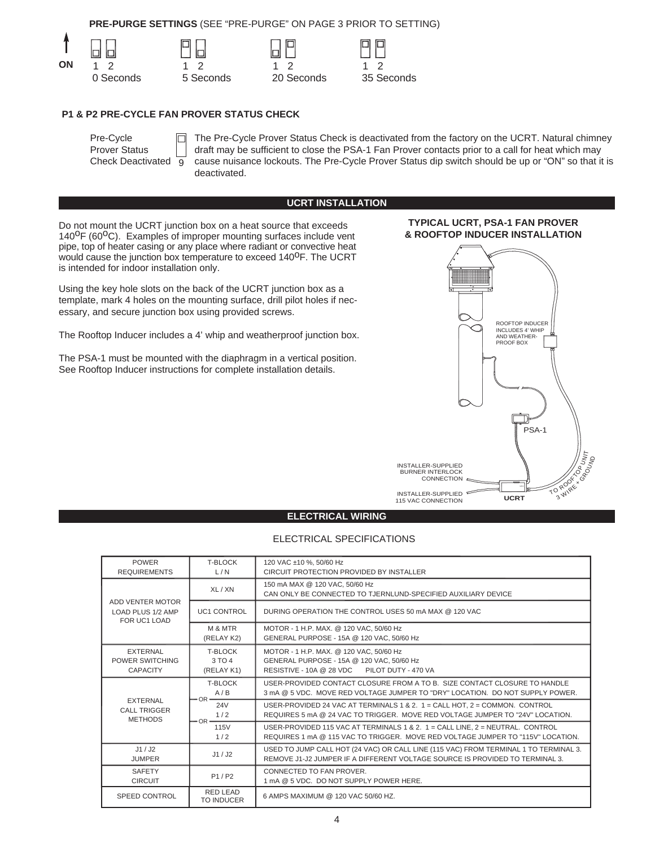**PRE-PURGE SETTINGS** (SEE "PRE-PURGE" ON PAGE 3 PRIOR TO SETTING)









#### **P1 & P2 PRE-CYCLE FAN PROVER STATUS CHECK**

IПI

| Pre-Cycle                |    |
|--------------------------|----|
| <b>Prover Status</b>     |    |
| <b>Check Deactivated</b> | -9 |

The Pre-Cycle Prover Status Check is deactivated from the factory on the UCRT. Natural chimney draft may be sufficient to close the PSA-1 Fan Prover contacts prior to a call for heat which may cause nuisance lockouts. The Pre-Cycle Prover Status dip switch should be up or "ON" so that it is deactivated.

#### **UCRT INSTALLATION**

Do not mount the UCRT junction box on a heat source that exceeds  $140^{\circ}F$  (60 $^{\circ}C$ ). Examples of improper mounting surfaces include vent pipe, top of heater casing or any place where radiant or convective heat would cause the junction box temperature to exceed 140<sup>0</sup>F. The UCRT is intended for indoor installation only.

Using the key hole slots on the back of the UCRT junction box as a template, mark 4 holes on the mounting surface, drill pilot holes if necessary, and secure junction box using provided screws.

The Rooftop Inducer includes a 4' whip and weatherproof junction box.

The PSA-1 must be mounted with the diaphragm in a vertical position. See Rooftop Inducer instructions for complete installation details.



**TYPICAL UCRT, PSA-1 FAN PROVER** 

#### **ELECTRICAL WIRING**

# ELECTRICAL SPECIFICATIONS

| <b>POWER</b><br><b>REQUIREMENTS</b>                      | T-BLOCK<br>L/N                  | 120 VAC ±10 %, 50/60 Hz<br>CIRCUIT PROTECTION PROVIDED BY INSTALLER                                                                                                  |  |
|----------------------------------------------------------|---------------------------------|----------------------------------------------------------------------------------------------------------------------------------------------------------------------|--|
| ADD VENTER MOTOR<br>LOAD PLUS 1/2 AMP<br>FOR UC1 LOAD    | XL / XN                         | 150 mA MAX @ 120 VAC, 50/60 Hz<br>CAN ONLY BE CONNECTED TO TJERNLUND-SPECIFIED AUXILIARY DEVICE                                                                      |  |
|                                                          | <b>UC1 CONTROL</b>              | DURING OPERATION THE CONTROL USES 50 mA MAX @ 120 VAC                                                                                                                |  |
|                                                          | M & MTR<br>(RELAY K2)           | MOTOR - 1 H.P. MAX. @ 120 VAC. 50/60 Hz<br>GENERAL PURPOSE - 15A @ 120 VAC, 50/60 Hz                                                                                 |  |
| <b>EXTERNAL</b><br>POWER SWITCHING<br><b>CAPACITY</b>    | T-BLOCK<br>3 TO 4<br>(RELAY K1) | MOTOR - 1 H.P. MAX. @ 120 VAC, 50/60 Hz<br>GENERAL PURPOSE - 15A @ 120 VAC, 50/60 Hz<br>RESISTIVE - 10A @ 28 VDC PILOT DUTY - 470 VA                                 |  |
|                                                          | T-BLOCK<br>A/B<br>$-OR -$       | USER-PROVIDED CONTACT CLOSURE FROM A TO B. SIZE CONTACT CLOSURE TO HANDLE<br>3 mA @ 5 VDC. MOVE RED VOLTAGE JUMPER TO "DRY" LOCATION. DO NOT SUPPLY POWER.           |  |
| <b>EXTERNAL</b><br><b>CALL TRIGGER</b><br><b>METHODS</b> | <b>24V</b><br>1/2<br>$-OR-$     | USER-PROVIDED 24 VAC AT TERMINALS 1 & 2. 1 = CALL HOT, 2 = COMMON, CONTROL<br>REQUIRES 5 mA @ 24 VAC TO TRIGGER. MOVE RED VOLTAGE JUMPER TO "24V" LOCATION.          |  |
|                                                          | 115V<br>1/2                     | USER-PROVIDED 115 VAC AT TERMINALS 1 & 2. 1 = CALL LINE, $2$ = NEUTRAL, CONTROL<br>REQUIRES 1 mA @ 115 VAC TO TRIGGER. MOVE RED VOLTAGE JUMPER TO "115V" LOCATION.   |  |
| J1/J2<br><b>JUMPER</b>                                   | J1/J2                           | USED TO JUMP CALL HOT (24 VAC) OR CALL LINE (115 VAC) FROM TERMINAL 1 TO TERMINAL 3.<br>REMOVE J1-J2 JUMPER IF A DIFFERENT VOLTAGE SOURCE IS PROVIDED TO TERMINAL 3. |  |
| <b>SAFETY</b><br><b>CIRCUIT</b>                          | P1/P2                           | CONNECTED TO FAN PROVER.<br>1 mA @ 5 VDC. DO NOT SUPPLY POWER HERE.                                                                                                  |  |
| <b>SPEED CONTROL</b>                                     | <b>RED LEAD</b><br>TO INDUCER   | 6 AMPS MAXIMUM @ 120 VAC 50/60 HZ.                                                                                                                                   |  |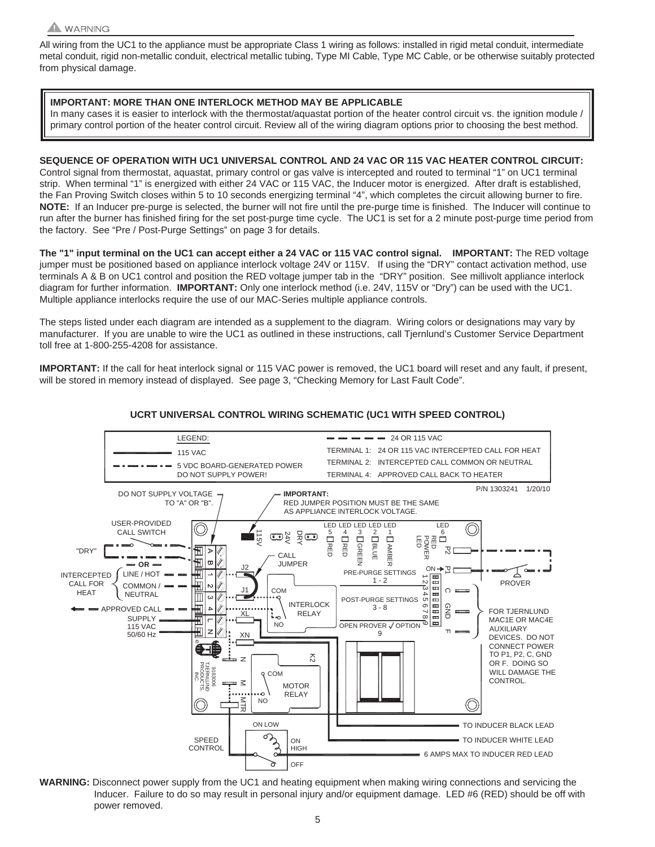

All wiring from the UC1 to the appliance must be appropriate Class 1 wiring as follows: installed in rigid metal conduit, intermediate metal conduit, rigid non-metallic conduit, electrical metallic tubing, Type MI Cable, Type MC Cable, or be otherwise suitably protected from physical damage.

# **IMPORTANT: MORE THAN ONE INTERLOCK METHOD MAY BE APPLICABLE**

In many cases it is easier to interlock with the thermostat/aquastat portion of the heater control circuit vs. the ignition module / primary control portion of the heater control circuit. Review all of the wiring diagram options prior to choosing the best method.

**SEQUENCE OF OPERATION WITH UC1 UNIVERSAL CONTROL AND 24 VAC OR 115 VAC HEATER CONTROL CIRCUIT:** Control signal from thermostat, aquastat, primary control or gas valve is intercepted and routed to terminal "1" on UC1 terminal strip. When terminal "1" is energized with either 24 VAC or 115 VAC, the Inducer motor is energized. After draft is established, the Fan Proving Switch closes within 5 to 10 seconds energizing terminal "4", which completes the circuit allowing burner to fire. **NOTE:** If an Inducer pre-purge is selected, the burner will not fire until the pre-purge time is finished. The Inducer will continue to run after the burner has finished firing for the set post-purge time cycle. The UC1 is set for a 2 minute post-purge time period from the factory. See "Pre / Post-Purge Settings" on page 3 for details.

**The "1" input terminal on the UC1 can accept either a 24 VAC or 115 VAC control signal. IMPORTANT:** The RED voltage jumper must be positioned based on appliance interlock voltage 24V or 115V. If using the "DRY" contact activation method, use terminals A & B on UC1 control and position the RED voltage jumper tab in the "DRY" position. See millivolt appliance interlock diagram for further information. **IMPORTANT:** Only one interlock method (i.e. 24V, 115V or "Dry") can be used with the UC1. Multiple appliance interlocks require the use of our MAC-Series multiple appliance controls.

The steps listed under each diagram are intended as a supplement to the diagram. Wiring colors or designations may vary by manufacturer. If you are unable to wire the UC1 as outlined in these instructions, call Tjernlund's Customer Service Department toll free at 1-800-255-4208 for assistance.

**IMPORTANT:** If the call for heat interlock signal or 115 VAC power is removed, the UC1 board will reset and any fault, if present, will be stored in memory instead of displayed. See page 3, "Checking Memory for Last Fault Code".



#### **UCRT UNIVERSAL CONTROL WIRING SCHEMATIC (UC1 WITH SPEED CONTROL)**

**WARNING:** Disconnect power supply from the UC1 and heating equipment when making wiring connections and servicing the Inducer. Failure to do so may result in personal injury and/or equipment damage. LED #6 (RED) should be off with power removed.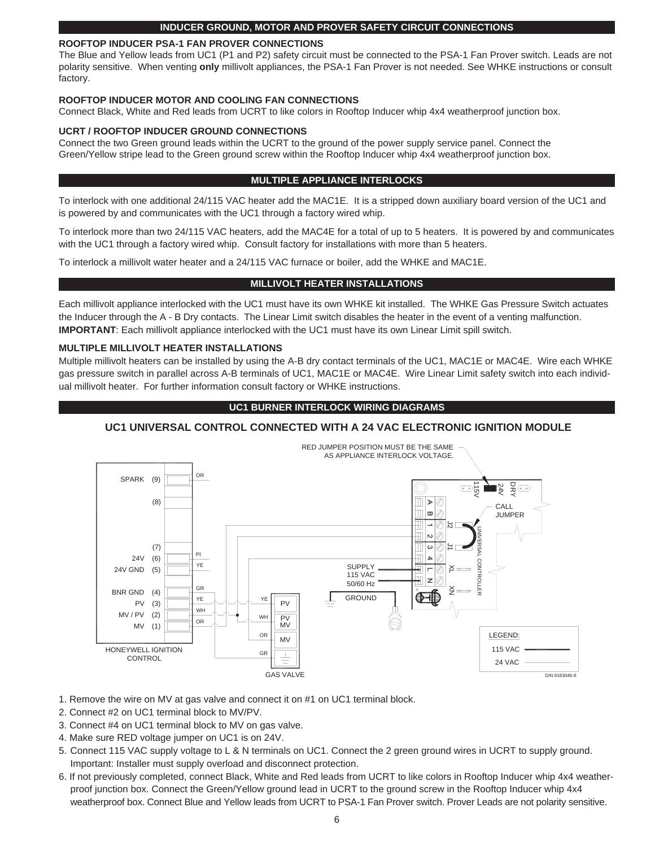#### **INDUCER GROUND, MOTOR AND PROVER SAFETY CIRCUIT CONNECTIONS**

#### **ROOFTOP INDUCER PSA-1 FAN PROVER CONNECTIONS**

The Blue and Yellow leads from UC1 (P1 and P2) safety circuit must be connected to the PSA-1 Fan Prover switch. Leads are not polarity sensitive. When venting **only** millivolt appliances, the PSA-1 Fan Prover is not needed. See WHKE instructions or consult factory.

#### **ROOFTOP INDUCER MOTOR AND COOLING FAN CONNECTIONS**

Connect Black, White and Red leads from UCRT to like colors in Rooftop Inducer whip 4x4 weatherproof junction box.

#### **UCRT / ROOFTOP INDUCER GROUND CONNECTIONS**

Connect the two Green ground leads within the UCRT to the ground of the power supply service panel. Connect the Green/Yellow stripe lead to the Green ground screw within the Rooftop Inducer whip 4x4 weatherproof junction box.

#### **MULTIPLE APPLIANCE INTERLOCKS**

To interlock with one additional 24/115 VAC heater add the MAC1E. It is a stripped down auxiliary board version of the UC1 and is powered by and communicates with the UC1 through a factory wired whip.

To interlock more than two 24/115 VAC heaters, add the MAC4E for a total of up to 5 heaters. It is powered by and communicates with the UC1 through a factory wired whip. Consult factory for installations with more than 5 heaters.

To interlock a millivolt water heater and a 24/115 VAC furnace or boiler, add the WHKE and MAC1E.

#### **MILLIVOLT HEATER INSTALLATIONS**

Each millivolt appliance interlocked with the UC1 must have its own WHKE kit installed. The WHKE Gas Pressure Switch actuates the Inducer through the A - B Dry contacts. The Linear Limit switch disables the heater in the event of a venting malfunction. **IMPORTANT**: Each millivolt appliance interlocked with the UC1 must have its own Linear Limit spill switch.

#### **MULTIPLE MILLIVOLT HEATER INSTALLATIONS**

Multiple millivolt heaters can be installed by using the A-B dry contact terminals of the UC1, MAC1E or MAC4E. Wire each WHKE gas pressure switch in parallel across A-B terminals of UC1, MAC1E or MAC4E. Wire Linear Limit safety switch into each individual millivolt heater. For further information consult factory or WHKE instructions.

#### **UC1 BURNER INTERLOCK WIRING DIAGRAMS**

#### **UC1 UNIVERSAL CONTROL CONNECTED WITH A 24 VAC ELECTRONIC IGNITION MODULE**



- 1. Remove the wire on MV at gas valve and connect it on #1 on UC1 terminal block.
- 2. Connect #2 on UC1 terminal block to MV/PV.
- 3. Connect #4 on UC1 terminal block to MV on gas valve.
- 4. Make sure RED voltage jumper on UC1 is on 24V.
- 5. Connect 115 VAC supply voltage to L & N terminals on UC1. Connect the 2 green ground wires in UCRT to supply ground. Important: Installer must supply overload and disconnect protection.
- 6. If not previously completed, connect Black, White and Red leads from UCRT to like colors in Rooftop Inducer whip 4x4 weatherproof junction box. Connect the Green/Yellow ground lead in UCRT to the ground screw in the Rooftop Inducer whip 4x4 weatherproof box. Connect Blue and Yellow leads from UCRT to PSA-1 Fan Prover switch. Prover Leads are not polarity sensitive.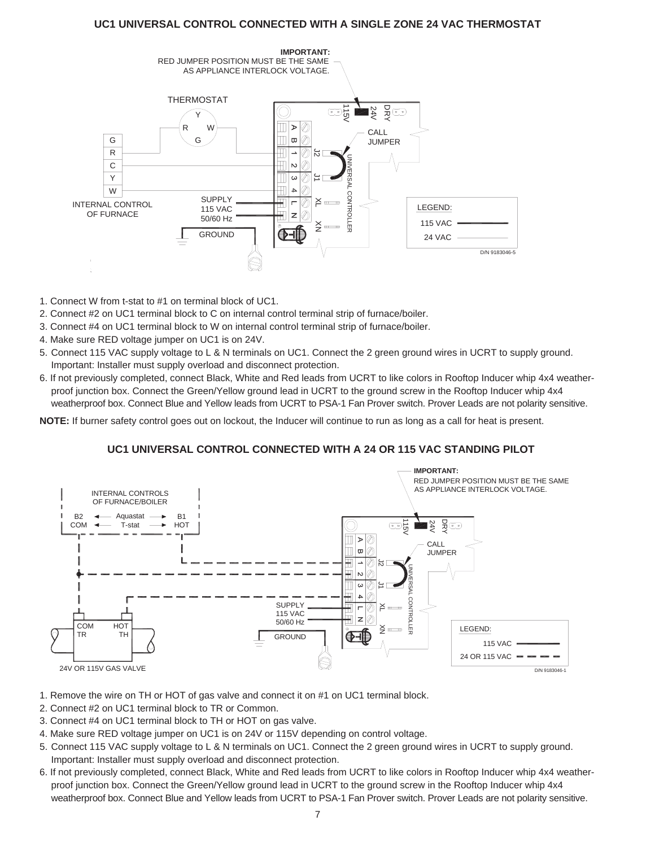# **UC1 UNIVERSAL CONTROL CONNECTED WITH A SINGLE ZONE 24 VAC THERMOSTAT**



- 1. Connect W from t-stat to #1 on terminal block of UC1.
- 2. Connect #2 on UC1 terminal block to C on internal control terminal strip of furnace/boiler.
- 3. Connect #4 on UC1 terminal block to W on internal control terminal strip of furnace/boiler.
- 4. Make sure RED voltage jumper on UC1 is on 24V.
- 5. Connect 115 VAC supply voltage to L & N terminals on UC1. Connect the 2 green ground wires in UCRT to supply ground. Important: Installer must supply overload and disconnect protection.
- 6. If not previously completed, connect Black, White and Red leads from UCRT to like colors in Rooftop Inducer whip 4x4 weatherproof junction box. Connect the Green/Yellow ground lead in UCRT to the ground screw in the Rooftop Inducer whip 4x4 weatherproof box. Connect Blue and Yellow leads from UCRT to PSA-1 Fan Prover switch. Prover Leads are not polarity sensitive.

**NOTE:** If burner safety control goes out on lockout, the Inducer will continue to run as long as a call for heat is present.

# **UC1 UNIVERSAL CONTROL CONNECTED WITH A 24 OR 115 VAC STANDING PILOT**



- 1. Remove the wire on TH or HOT of gas valve and connect it on #1 on UC1 terminal block.
- 2. Connect #2 on UC1 terminal block to TR or Common.
- 3. Connect #4 on UC1 terminal block to TH or HOT on gas valve.
- 4. Make sure RED voltage jumper on UC1 is on 24V or 115V depending on control voltage.
- 5. Connect 115 VAC supply voltage to L & N terminals on UC1. Connect the 2 green ground wires in UCRT to supply ground. Important: Installer must supply overload and disconnect protection.
- 6. If not previously completed, connect Black, White and Red leads from UCRT to like colors in Rooftop Inducer whip 4x4 weatherproof junction box. Connect the Green/Yellow ground lead in UCRT to the ground screw in the Rooftop Inducer whip 4x4 weatherproof box. Connect Blue and Yellow leads from UCRT to PSA-1 Fan Prover switch. Prover Leads are not polarity sensitive.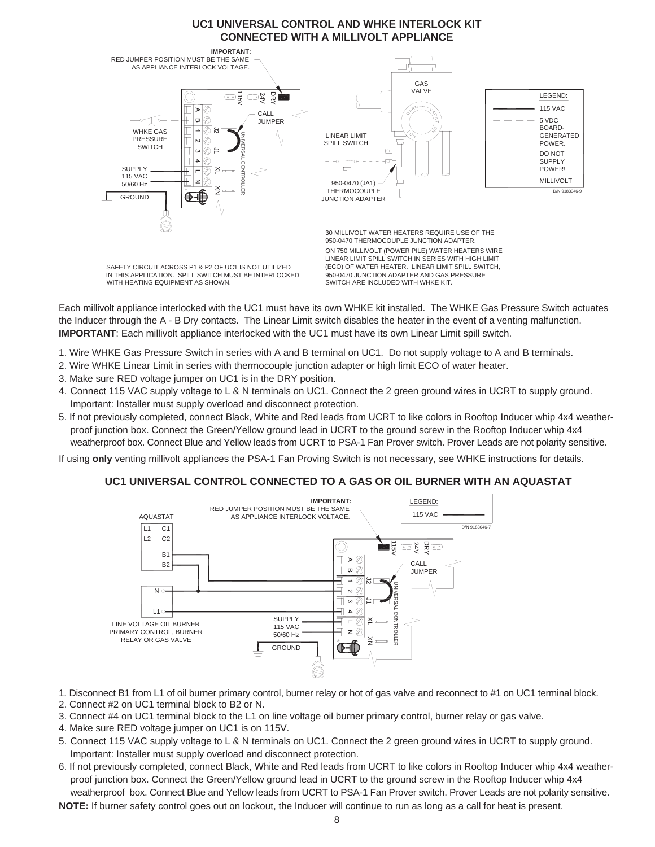# **UC1 UNIVERSAL CONTROL AND WHKE INTERLOCK KIT CONNECTED WITH A MILLIVOLT APPLIANCE**



Each millivolt appliance interlocked with the UC1 must have its own WHKE kit installed. The WHKE Gas Pressure Switch actuates the Inducer through the A - B Dry contacts. The Linear Limit switch disables the heater in the event of a venting malfunction. **IMPORTANT**: Each millivolt appliance interlocked with the UC1 must have its own Linear Limit spill switch.

- 1. Wire WHKE Gas Pressure Switch in series with A and B terminal on UC1. Do not supply voltage to A and B terminals.
- 2. Wire WHKE Linear Limit in series with thermocouple junction adapter or high limit ECO of water heater.
- 3. Make sure RED voltage jumper on UC1 is in the DRY position.
- 4. Connect 115 VAC supply voltage to L & N terminals on UC1. Connect the 2 green ground wires in UCRT to supply ground. Important: Installer must supply overload and disconnect protection.
- 5. If not previously completed, connect Black, White and Red leads from UCRT to like colors in Rooftop Inducer whip 4x4 weatherproof junction box. Connect the Green/Yellow ground lead in UCRT to the ground screw in the Rooftop Inducer whip 4x4 weatherproof box. Connect Blue and Yellow leads from UCRT to PSA-1 Fan Prover switch. Prover Leads are not polarity sensitive.

If using **only** venting millivolt appliances the PSA-1 Fan Proving Switch is not necessary, see WHKE instructions for details.

#### **UC1 UNIVERSAL CONTROL CONNECTED TO A GAS OR OIL BURNER WITH AN AQUASTAT**



- 1. Disconnect B1 from L1 of oil burner primary control, burner relay or hot of gas valve and reconnect to #1 on UC1 terminal block.
- 2. Connect #2 on UC1 terminal block to B2 or N.
- 3. Connect #4 on UC1 terminal block to the L1 on line voltage oil burner primary control, burner relay or gas valve.
- 4. Make sure RED voltage jumper on UC1 is on 115V.
- 5. Connect 115 VAC supply voltage to L & N terminals on UC1. Connect the 2 green ground wires in UCRT to supply ground. Important: Installer must supply overload and disconnect protection.
- 6. If not previously completed, connect Black, White and Red leads from UCRT to like colors in Rooftop Inducer whip 4x4 weatherproof junction box. Connect the Green/Yellow ground lead in UCRT to the ground screw in the Rooftop Inducer whip 4x4 weatherproof box. Connect Blue and Yellow leads from UCRT to PSA-1 Fan Prover switch. Prover Leads are not polarity sensitive. **NOTE:** If burner safety control goes out on lockout, the Inducer will continue to run as long as a call for heat is present.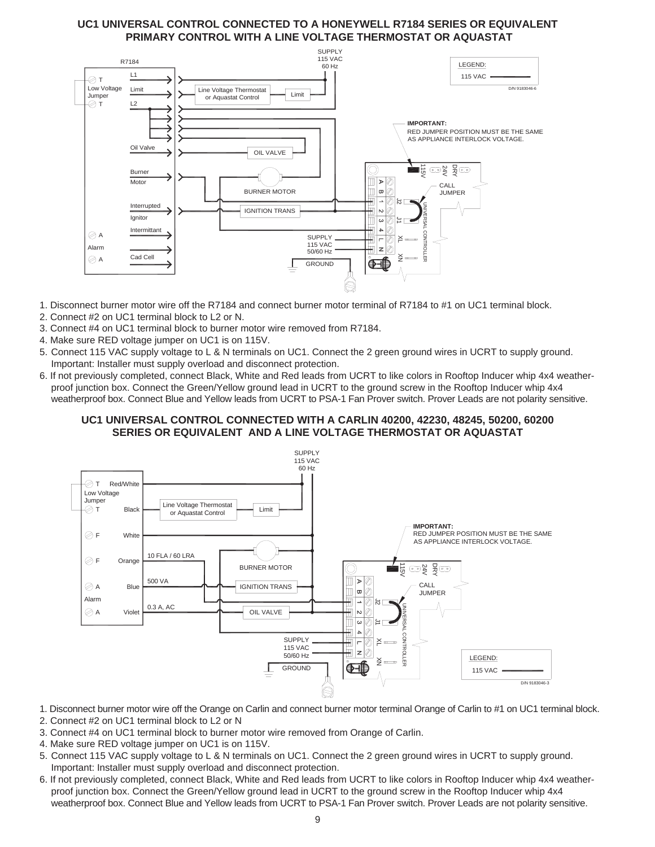# **UC1 UNIVERSAL CONTROL CONNECTED TO A HONEYWELL R7184 SERIES OR EQUIVALENT PRIMARY CONTROL WITH A LINE VOLTAGE THERMOSTAT OR AQUASTAT**



- 1. Disconnect burner motor wire off the R7184 and connect burner motor terminal of R7184 to #1 on UC1 terminal block.
- 2. Connect #2 on UC1 terminal block to L2 or N.
- 3. Connect #4 on UC1 terminal block to burner motor wire removed from R7184.
- 4. Make sure RED voltage jumper on UC1 is on 115V.
- 5. Connect 115 VAC supply voltage to L & N terminals on UC1. Connect the 2 green ground wires in UCRT to supply ground. Important: Installer must supply overload and disconnect protection.
- 6. If not previously completed, connect Black, White and Red leads from UCRT to like colors in Rooftop Inducer whip 4x4 weatherproof junction box. Connect the Green/Yellow ground lead in UCRT to the ground screw in the Rooftop Inducer whip 4x4 weatherproof box. Connect Blue and Yellow leads from UCRT to PSA-1 Fan Prover switch. Prover Leads are not polarity sensitive.

# **UC1 UNIVERSAL CONTROL CONNECTED WITH A CARLIN 40200, 42230, 48245, 50200, 60200 SERIES OR EQUIVALENT AND A LINE VOLTAGE THERMOSTAT OR AQUASTAT**



- 1. Disconnect burner motor wire off the Orange on Carlin and connect burner motor terminal Orange of Carlin to #1 on UC1 terminal block.
- 2. Connect #2 on UC1 terminal block to L2 or N
- 3. Connect #4 on UC1 terminal block to burner motor wire removed from Orange of Carlin.
- 4. Make sure RED voltage jumper on UC1 is on 115V.
- 5. Connect 115 VAC supply voltage to L & N terminals on UC1. Connect the 2 green ground wires in UCRT to supply ground. Important: Installer must supply overload and disconnect protection.
- 6. If not previously completed, connect Black, White and Red leads from UCRT to like colors in Rooftop Inducer whip 4x4 weatherproof junction box. Connect the Green/Yellow ground lead in UCRT to the ground screw in the Rooftop Inducer whip 4x4 weatherproof box. Connect Blue and Yellow leads from UCRT to PSA-1 Fan Prover switch. Prover Leads are not polarity sensitive.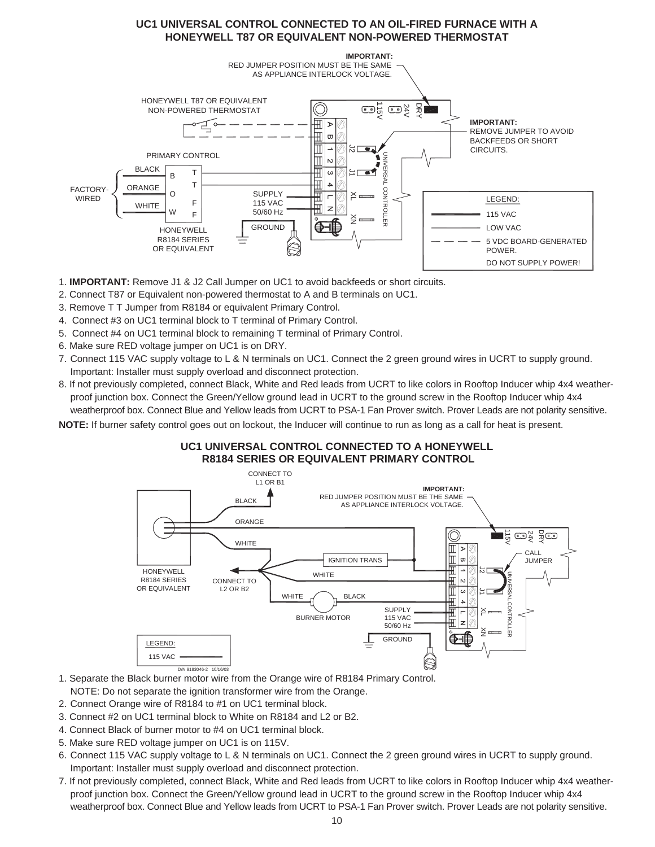# **UC1 UNIVERSAL CONTROL CONNECTED TO AN OIL-FIRED FURNACE WITH A HONEYWELL T87 OR EQUIVALENT NON-POWERED THERMOSTAT**



1. **IMPORTANT:** Remove J1 & J2 Call Jumper on UC1 to avoid backfeeds or short circuits.

- 2. Connect T87 or Equivalent non-powered thermostat to A and B terminals on UC1.
- 3. Remove T T Jumper from R8184 or equivalent Primary Control.
- 4. Connect #3 on UC1 terminal block to T terminal of Primary Control.
- 5. Connect #4 on UC1 terminal block to remaining T terminal of Primary Control.
- 6. Make sure RED voltage jumper on UC1 is on DRY.
- 7. Connect 115 VAC supply voltage to L & N terminals on UC1. Connect the 2 green ground wires in UCRT to supply ground. Important: Installer must supply overload and disconnect protection.
- 8. If not previously completed, connect Black, White and Red leads from UCRT to like colors in Rooftop Inducer whip 4x4 weatherproof junction box. Connect the Green/Yellow ground lead in UCRT to the ground screw in the Rooftop Inducer whip 4x4 weatherproof box. Connect Blue and Yellow leads from UCRT to PSA-1 Fan Prover switch. Prover Leads are not polarity sensitive.

**NOTE:** If burner safety control goes out on lockout, the Inducer will continue to run as long as a call for heat is present.

# **UC1 UNIVERSAL CONTROL CONNECTED TO A HONEYWELL R8184 SERIES OR EQUIVALENT PRIMARY CONTROL**



- 1. Separate the Black burner motor wire from the Orange wire of R8184 Primary Control.
- NOTE: Do not separate the ignition transformer wire from the Orange.
- 2. Connect Orange wire of R8184 to #1 on UC1 terminal block.
- 3. Connect #2 on UC1 terminal block to White on R8184 and L2 or B2.
- 4. Connect Black of burner motor to #4 on UC1 terminal block.
- 5. Make sure RED voltage jumper on UC1 is on 115V.
- 6. Connect 115 VAC supply voltage to L & N terminals on UC1. Connect the 2 green ground wires in UCRT to supply ground. Important: Installer must supply overload and disconnect protection.
- 7. If not previously completed, connect Black, White and Red leads from UCRT to like colors in Rooftop Inducer whip 4x4 weatherproof junction box. Connect the Green/Yellow ground lead in UCRT to the ground screw in the Rooftop Inducer whip 4x4 weatherproof box. Connect Blue and Yellow leads from UCRT to PSA-1 Fan Prover switch. Prover Leads are not polarity sensitive.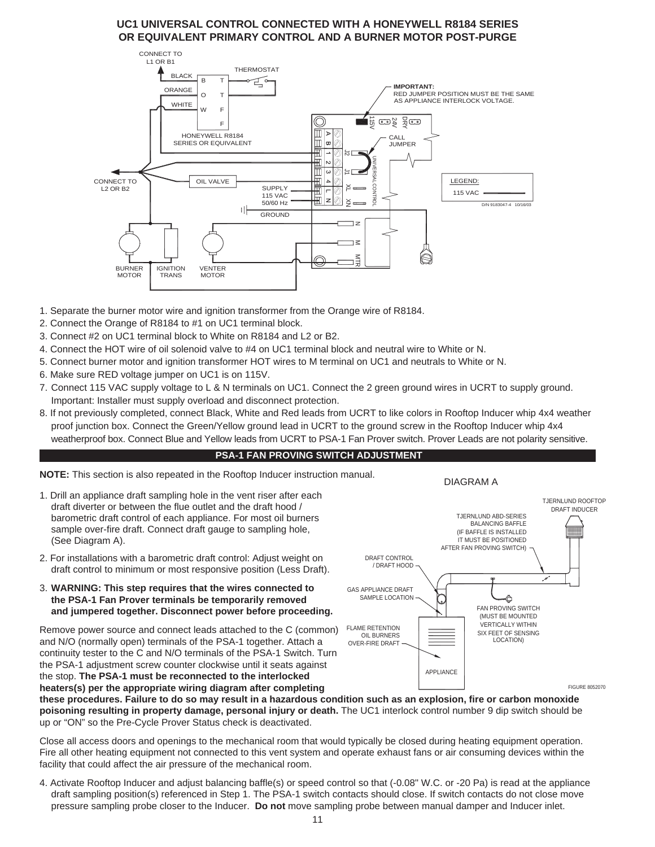# **UC1 UNIVERSAL CONTROL CONNECTED WITH A HONEYWELL R8184 SERIES OR EQUIVALENT PRIMARY CONTROL AND A BURNER MOTOR POST-PURGE**



- 1. Separate the burner motor wire and ignition transformer from the Orange wire of R8184.
- 2. Connect the Orange of R8184 to #1 on UC1 terminal block.
- 3. Connect #2 on UC1 terminal block to White on R8184 and L2 or B2.
- 4. Connect the HOT wire of oil solenoid valve to #4 on UC1 terminal block and neutral wire to White or N.
- 5. Connect burner motor and ignition transformer HOT wires to M terminal on UC1 and neutrals to White or N.
- 6. Make sure RED voltage jumper on UC1 is on 115V.
- 7. Connect 115 VAC supply voltage to L & N terminals on UC1. Connect the 2 green ground wires in UCRT to supply ground. Important: Installer must supply overload and disconnect protection.
- 8. If not previously completed, connect Black, White and Red leads from UCRT to like colors in Rooftop Inducer whip 4x4 weather proof junction box. Connect the Green/Yellow ground lead in UCRT to the ground screw in the Rooftop Inducer whip 4x4 weatherproof box. Connect Blue and Yellow leads from UCRT to PSA-1 Fan Prover switch. Prover Leads are not polarity sensitive.

#### **PSA-1 FAN PROVING SWITCH ADJUSTMENT**

**NOTE:** This section is also repeated in the Rooftop Inducer instruction manual.

- 1. Drill an appliance draft sampling hole in the vent riser after each draft diverter or between the flue outlet and the draft hood / barometric draft control of each appliance. For most oil burners sample over-fire draft. Connect draft gauge to sampling hole, (See Diagram A).
- 2. For installations with a barometric draft control: Adjust weight on draft control to minimum or most responsive position (Less Draft).
- 3. **WARNING: This step requires that the wires connected to the PSA-1 Fan Prover terminals be temporarily removed and jumpered together. Disconnect power before proceeding.**

Remove power source and connect leads attached to the C (common) and N/O (normally open) terminals of the PSA-1 together. Attach a continuity tester to the C and N/O terminals of the PSA-1 Switch. Turn the PSA-1 adjustment screw counter clockwise until it seats against the stop. **The PSA-1 must be reconnected to the interlocked heaters(s) per the appropriate wiring diagram after completing**



DIAGRAM A

**these procedures. Failure to do so may result in a hazardous condition such as an explosion, fire or carbon monoxide poisoning resulting in property damage, personal injury or death.** The UC1 interlock control number 9 dip switch should be up or "ON" so the Pre-Cycle Prover Status check is deactivated.

Close all access doors and openings to the mechanical room that would typically be closed during heating equipment operation. Fire all other heating equipment not connected to this vent system and operate exhaust fans or air consuming devices within the facility that could affect the air pressure of the mechanical room.

4. Activate Rooftop Inducer and adjust balancing baffle(s) or speed control so that (-0.08" W.C. or -20 Pa) is read at the appliance draft sampling position(s) referenced in Step 1. The PSA-1 switch contacts should close. If switch contacts do not close move pressure sampling probe closer to the Inducer. **Do not** move sampling probe between manual damper and Inducer inlet.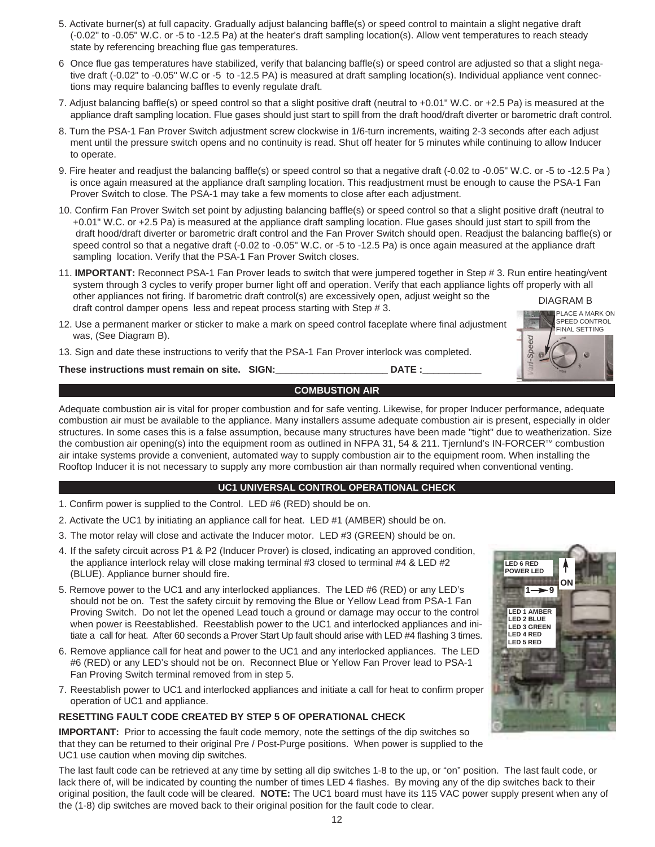- 5. Activate burner(s) at full capacity. Gradually adjust balancing baffle(s) or speed control to maintain a slight negative draft (-0.02" to -0.05" W.C. or -5 to -12.5 Pa) at the heater's draft sampling location(s). Allow vent temperatures to reach steady state by referencing breaching flue gas temperatures.
- 6 Once flue gas temperatures have stabilized, verify that balancing baffle(s) or speed control are adjusted so that a slight negative draft (-0.02" to -0.05" W.C or -5 to -12.5 PA) is measured at draft sampling location(s). Individual appliance vent connections may require balancing baffles to evenly regulate draft.
- 7. Adjust balancing baffle(s) or speed control so that a slight positive draft (neutral to +0.01" W.C. or +2.5 Pa) is measured at the appliance draft sampling location. Flue gases should just start to spill from the draft hood/draft diverter or barometric draft control.
- 8. Turn the PSA-1 Fan Prover Switch adjustment screw clockwise in 1/6-turn increments, waiting 2-3 seconds after each adjust ment until the pressure switch opens and no continuity is read. Shut off heater for 5 minutes while continuing to allow Inducer to operate.
- 9. Fire heater and readjust the balancing baffle(s) or speed control so that a negative draft (-0.02 to -0.05" W.C. or -5 to -12.5 Pa ) is once again measured at the appliance draft sampling location. This readjustment must be enough to cause the PSA-1 Fan Prover Switch to close. The PSA-1 may take a few moments to close after each adjustment.
- 10. Confirm Fan Prover Switch set point by adjusting balancing baffle(s) or speed control so that a slight positive draft (neutral to +0.01" W.C. or +2.5 Pa) is measured at the appliance draft sampling location. Flue gases should just start to spill from the draft hood/draft diverter or barometric draft control and the Fan Prover Switch should open. Readjust the balancing baffle(s) or speed control so that a negative draft (-0.02 to -0.05" W.C. or -5 to -12.5 Pa) is once again measured at the appliance draft sampling location. Verify that the PSA-1 Fan Prover Switch closes.
- 11. **IMPORTANT:** Reconnect PSA-1 Fan Prover leads to switch that were jumpered together in Step # 3. Run entire heating/vent system through 3 cycles to verify proper burner light off and operation. Verify that each appliance lights off properly with all other appliances not firing. If barometric draft control(s) are excessively open, adjust weight so the draft control damper opens less and repeat process starting with Step # 3. DIAGRAM B PLACE A MARK ON
- 12. Use a permanent marker or sticker to make a mark on speed control faceplate where final adjustment was, (See Diagram B).
- 13. Sign and date these instructions to verify that the PSA-1 Fan Prover interlock was completed.

These instructions must remain on site. SIGN: **Noting that SIGN:** DATE :

# **COMBUSTION AIR**

Adequate combustion air is vital for proper combustion and for safe venting. Likewise, for proper Inducer performance, adequate combustion air must be available to the appliance. Many installers assume adequate combustion air is present, especially in older structures. In some cases this is a false assumption, because many structures have been made "tight" due to weatherization. Size the combustion air opening(s) into the equipment room as outlined in NFPA 31, 54 & 211. Tiernlund's IN-FORCER<sup>TM</sup> combustion air intake systems provide a convenient, automated way to supply combustion air to the equipment room. When installing the Rooftop Inducer it is not necessary to supply any more combustion air than normally required when conventional venting.

#### **UC1 UNIVERSAL CONTROL OPERATIONAL CHECK**

- 1. Confirm power is supplied to the Control. LED #6 (RED) should be on.
- 2. Activate the UC1 by initiating an appliance call for heat. LED #1 (AMBER) should be on.
- 3. The motor relay will close and activate the Inducer motor. LED #3 (GREEN) should be on.
- 4. If the safety circuit across P1 & P2 (Inducer Prover) is closed, indicating an approved condition, the appliance interlock relay will close making terminal #3 closed to terminal #4 & LED #2 (BLUE). Appliance burner should fire.
- 5. Remove power to the UC1 and any interlocked appliances. The LED #6 (RED) or any LED's should not be on. Test the safety circuit by removing the Blue or Yellow Lead from PSA-1 Fan Proving Switch. Do not let the opened Lead touch a ground or damage may occur to the control when power is Reestablished. Reestablish power to the UC1 and interlocked appliances and initiate a call for heat. After 60 seconds a Prover Start Up fault should arise with LED #4 flashing 3 times.
- 6. Remove appliance call for heat and power to the UC1 and any interlocked appliances. The LED #6 (RED) or any LED's should not be on. Reconnect Blue or Yellow Fan Prover lead to PSA-1 Fan Proving Switch terminal removed from in step 5.
- 7. Reestablish power to UC1 and interlocked appliances and initiate a call for heat to confirm proper operation of UC1 and appliance.

#### **RESETTING FAULT CODE CREATED BY STEP 5 OF OPERATIONAL CHECK**

**IMPORTANT:** Prior to accessing the fault code memory, note the settings of the dip switches so that they can be returned to their original Pre / Post-Purge positions. When power is supplied to the UC1 use caution when moving dip switches.

The last fault code can be retrieved at any time by setting all dip switches 1-8 to the up, or "on" position. The last fault code, or lack there of, will be indicated by counting the number of times LED 4 flashes. By moving any of the dip switches back to their original position, the fault code will be cleared. **NOTE:** The UC1 board must have its 115 VAC power supply present when any of the (1-8) dip switches are moved back to their original position for the fault code to clear.



SPEED CONTROL FINAL SETTING

Speed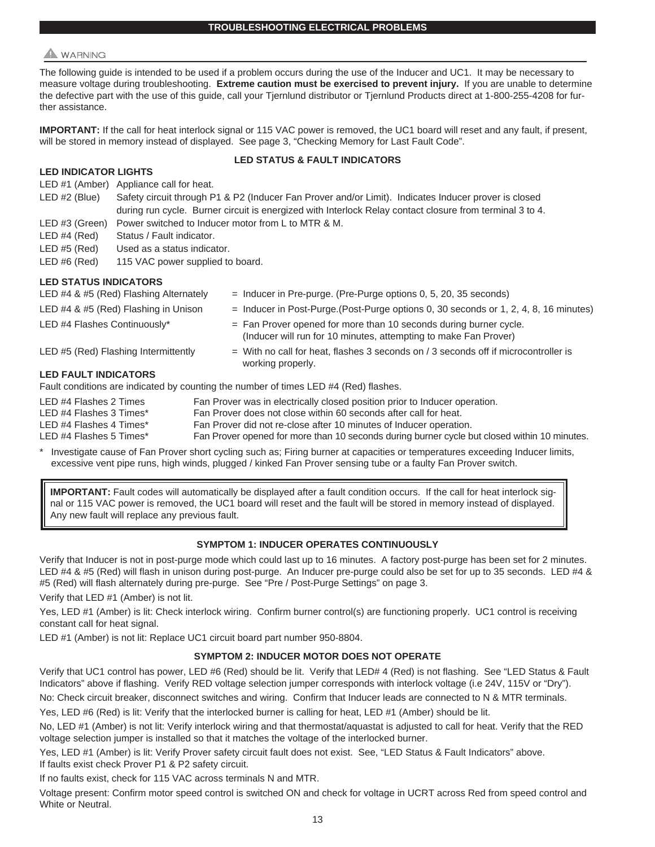# **WARNING**

The following guide is intended to be used if a problem occurs during the use of the Inducer and UC1. It may be necessary to measure voltage during troubleshooting. **Extreme caution must be exercised to prevent injury.** If you are unable to determine the defective part with the use of this guide, call your Tjernlund distributor or Tjernlund Products direct at 1-800-255-4208 for further assistance.

**IMPORTANT:** If the call for heat interlock signal or 115 VAC power is removed, the UC1 board will reset and any fault, if present, will be stored in memory instead of displayed. See page 3, "Checking Memory for Last Fault Code".

#### **LED INDICATOR LIGHTS**

#### **LED STATUS & FAULT INDICATORS**

LED #1 (Amber) Appliance call for heat.

| $LED \#2 (Blue)$ | Safety circuit through P1 & P2 (Inducer Fan Prover and/or Limit). Indicates Inducer prover is closed     |
|------------------|----------------------------------------------------------------------------------------------------------|
|                  | during run cycle. Burner circuit is energized with Interlock Relay contact closure from terminal 3 to 4. |
|                  | $IFD \#3$ (Green) Power switched to Inducer motor from L to MTR $R$ M                                    |

LED #4 (Red) Status / Fault indicator.

LED #5 (Red) Used as a status indicator.

LED #6 (Red) 115 VAC power supplied to board.

#### **LED STATUS INDICATORS**

| LED #4 & #5 (Red) Flashing Alternately | $=$ Inducer in Pre-purge. (Pre-Purge options 0, 5, 20, 35 seconds)                                                                      |
|----------------------------------------|-----------------------------------------------------------------------------------------------------------------------------------------|
| LED #4 & #5 (Red) Flashing in Unison   | $=$ Inducer in Post-Purge. (Post-Purge options 0, 30 seconds or 1, 2, 4, 8, 16 minutes)                                                 |
| LED #4 Flashes Continuously*           | $=$ Fan Prover opened for more than 10 seconds during burner cycle.<br>(Inducer will run for 10 minutes, attempting to make Fan Prover) |
| LED #5 (Red) Flashing Intermittently   | $=$ With no call for heat, flashes 3 seconds on / 3 seconds off if microcontroller is<br>working properly.                              |
| <b>LED FAULT INDICATORS</b>            |                                                                                                                                         |
|                                        | Fault conditions are indicated by counting the number of times LED #4 (Red) flashes.                                                    |
| LED #4 Flashes 2 Times                 | Fan Prover was in electrically closed position prior to Inducer operation.                                                              |
| LED #4 Flashes 3 Times*                | Fan Prover does not close within 60 seconds after call for heat.                                                                        |
| LED #4 Flashes 4 Times*                | Fan Prover did not re-close after 10 minutes of Inducer operation.                                                                      |
| LED #4 Flashes 5 Times*                | Fan Prover opened for more than 10 seconds during burner cycle but closed within 10 minutes.                                            |

Investigate cause of Fan Prover short cycling such as; Firing burner at capacities or temperatures exceeding Inducer limits, excessive vent pipe runs, high winds, plugged / kinked Fan Prover sensing tube or a faulty Fan Prover switch.

**IMPORTANT:** Fault codes will automatically be displayed after a fault condition occurs. If the call for heat interlock signal or 115 VAC power is removed, the UC1 board will reset and the fault will be stored in memory instead of displayed. Any new fault will replace any previous fault.

#### **SYMPTOM 1: INDUCER OPERATES CONTINUOUSLY**

Verify that Inducer is not in post-purge mode which could last up to 16 minutes. A factory post-purge has been set for 2 minutes. LED #4 & #5 (Red) will flash in unison during post-purge. An Inducer pre-purge could also be set for up to 35 seconds. LED #4 & #5 (Red) will flash alternately during pre-purge. See "Pre / Post-Purge Settings" on page 3.

Verify that LED #1 (Amber) is not lit.

Yes, LED #1 (Amber) is lit: Check interlock wiring. Confirm burner control(s) are functioning properly. UC1 control is receiving constant call for heat signal.

LED #1 (Amber) is not lit: Replace UC1 circuit board part number 950-8804.

#### **SYMPTOM 2: INDUCER MOTOR DOES NOT OPERATE**

Verify that UC1 control has power, LED #6 (Red) should be lit. Verify that LED# 4 (Red) is not flashing. See "LED Status & Fault Indicators" above if flashing. Verify RED voltage selection jumper corresponds with interlock voltage (i.e 24V, 115V or "Dry").

No: Check circuit breaker, disconnect switches and wiring. Confirm that Inducer leads are connected to N & MTR terminals.

Yes, LED #6 (Red) is lit: Verify that the interlocked burner is calling for heat, LED #1 (Amber) should be lit.

No, LED #1 (Amber) is not lit: Verify interlock wiring and that thermostat/aquastat is adjusted to call for heat. Verify that the RED voltage selection jumper is installed so that it matches the voltage of the interlocked burner.

Yes, LED #1 (Amber) is lit: Verify Prover safety circuit fault does not exist. See, "LED Status & Fault Indicators" above. If faults exist check Prover P1 & P2 safety circuit.

If no faults exist, check for 115 VAC across terminals N and MTR.

Voltage present: Confirm motor speed control is switched ON and check for voltage in UCRT across Red from speed control and White or Neutral.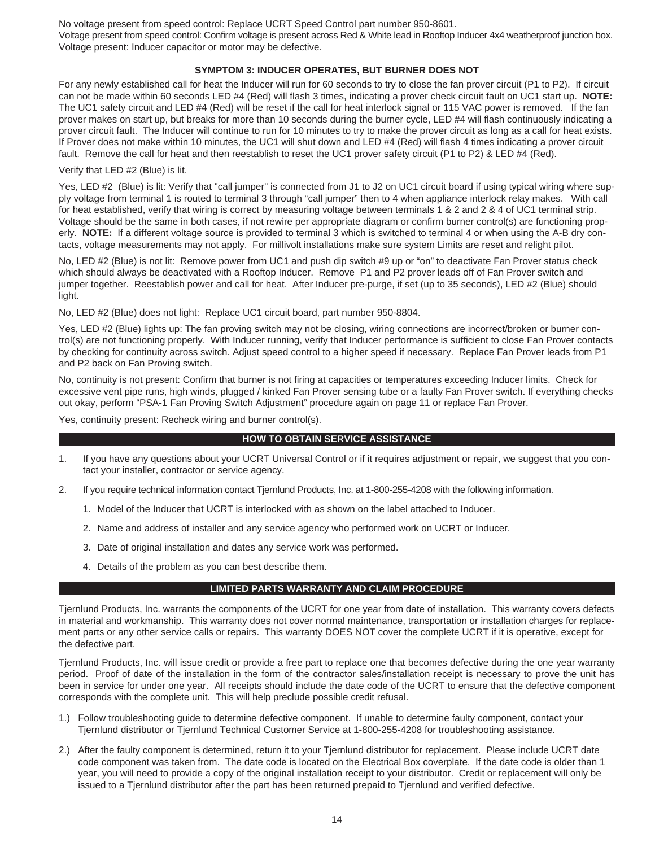No voltage present from speed control: Replace UCRT Speed Control part number 950-8601.

Voltage present from speed control: Confirm voltage is present across Red & White lead in Rooftop Inducer 4x4 weatherproof junction box. Voltage present: Inducer capacitor or motor may be defective.

#### **SYMPTOM 3: INDUCER OPERATES, BUT BURNER DOES NOT**

For any newly established call for heat the Inducer will run for 60 seconds to try to close the fan prover circuit (P1 to P2). If circuit can not be made within 60 seconds LED #4 (Red) will flash 3 times, indicating a prover check circuit fault on UC1 start up. **NOTE:** The UC1 safety circuit and LED #4 (Red) will be reset if the call for heat interlock signal or 115 VAC power is removed. If the fan prover makes on start up, but breaks for more than 10 seconds during the burner cycle, LED #4 will flash continuously indicating a prover circuit fault. The Inducer will continue to run for 10 minutes to try to make the prover circuit as long as a call for heat exists. If Prover does not make within 10 minutes, the UC1 will shut down and LED #4 (Red) will flash 4 times indicating a prover circuit fault. Remove the call for heat and then reestablish to reset the UC1 prover safety circuit (P1 to P2) & LED #4 (Red).

Verify that LED #2 (Blue) is lit.

Yes, LED #2 (Blue) is lit: Verify that "call jumper" is connected from J1 to J2 on UC1 circuit board if using typical wiring where supply voltage from terminal 1 is routed to terminal 3 through "call jumper" then to 4 when appliance interlock relay makes. With call for heat established, verify that wiring is correct by measuring voltage between terminals 1 & 2 and 2 & 4 of UC1 terminal strip. Voltage should be the same in both cases, if not rewire per appropriate diagram or confirm burner control(s) are functioning properly. **NOTE:** If a different voltage source is provided to terminal 3 which is switched to terminal 4 or when using the A-B dry contacts, voltage measurements may not apply. For millivolt installations make sure system Limits are reset and relight pilot.

No, LED #2 (Blue) is not lit: Remove power from UC1 and push dip switch #9 up or "on" to deactivate Fan Prover status check which should always be deactivated with a Rooftop Inducer. Remove P1 and P2 prover leads off of Fan Prover switch and jumper together. Reestablish power and call for heat. After Inducer pre-purge, if set (up to 35 seconds), LED #2 (Blue) should light.

No, LED #2 (Blue) does not light: Replace UC1 circuit board, part number 950-8804.

Yes, LED #2 (Blue) lights up: The fan proving switch may not be closing, wiring connections are incorrect/broken or burner control(s) are not functioning properly. With Inducer running, verify that Inducer performance is sufficient to close Fan Prover contacts by checking for continuity across switch. Adjust speed control to a higher speed if necessary. Replace Fan Prover leads from P1 and P2 back on Fan Proving switch.

No, continuity is not present: Confirm that burner is not firing at capacities or temperatures exceeding Inducer limits. Check for excessive vent pipe runs, high winds, plugged / kinked Fan Prover sensing tube or a faulty Fan Prover switch. If everything checks out okay, perform "PSA-1 Fan Proving Switch Adjustment" procedure again on page 11 or replace Fan Prover.

Yes, continuity present: Recheck wiring and burner control(s).

#### **HOW TO OBTAIN SERVICE ASSISTANCE**

- 1. If you have any questions about your UCRT Universal Control or if it requires adjustment or repair, we suggest that you contact your installer, contractor or service agency.
- 2. If you require technical information contact Tjernlund Products, Inc. at 1-800-255-4208 with the following information.
	- 1. Model of the Inducer that UCRT is interlocked with as shown on the label attached to Inducer.
	- 2. Name and address of installer and any service agency who performed work on UCRT or Inducer.
	- 3. Date of original installation and dates any service work was performed.
	- 4. Details of the problem as you can best describe them.

#### **LIMITED PARTS WARRANTY AND CLAIM PROCEDURE**

Tjernlund Products, Inc. warrants the components of the UCRT for one year from date of installation. This warranty covers defects in material and workmanship. This warranty does not cover normal maintenance, transportation or installation charges for replacement parts or any other service calls or repairs. This warranty DOES NOT cover the complete UCRT if it is operative, except for the defective part.

Tjernlund Products, Inc. will issue credit or provide a free part to replace one that becomes defective during the one year warranty period. Proof of date of the installation in the form of the contractor sales/installation receipt is necessary to prove the unit has been in service for under one year. All receipts should include the date code of the UCRT to ensure that the defective component corresponds with the complete unit. This will help preclude possible credit refusal.

- 1.) Follow troubleshooting guide to determine defective component. If unable to determine faulty component, contact your Tjernlund distributor or Tjernlund Technical Customer Service at 1-800-255-4208 for troubleshooting assistance.
- 2.) After the faulty component is determined, return it to your Tjernlund distributor for replacement. Please include UCRT date code component was taken from. The date code is located on the Electrical Box coverplate. If the date code is older than 1 year, you will need to provide a copy of the original installation receipt to your distributor. Credit or replacement will only be issued to a Tjernlund distributor after the part has been returned prepaid to Tjernlund and verified defective.